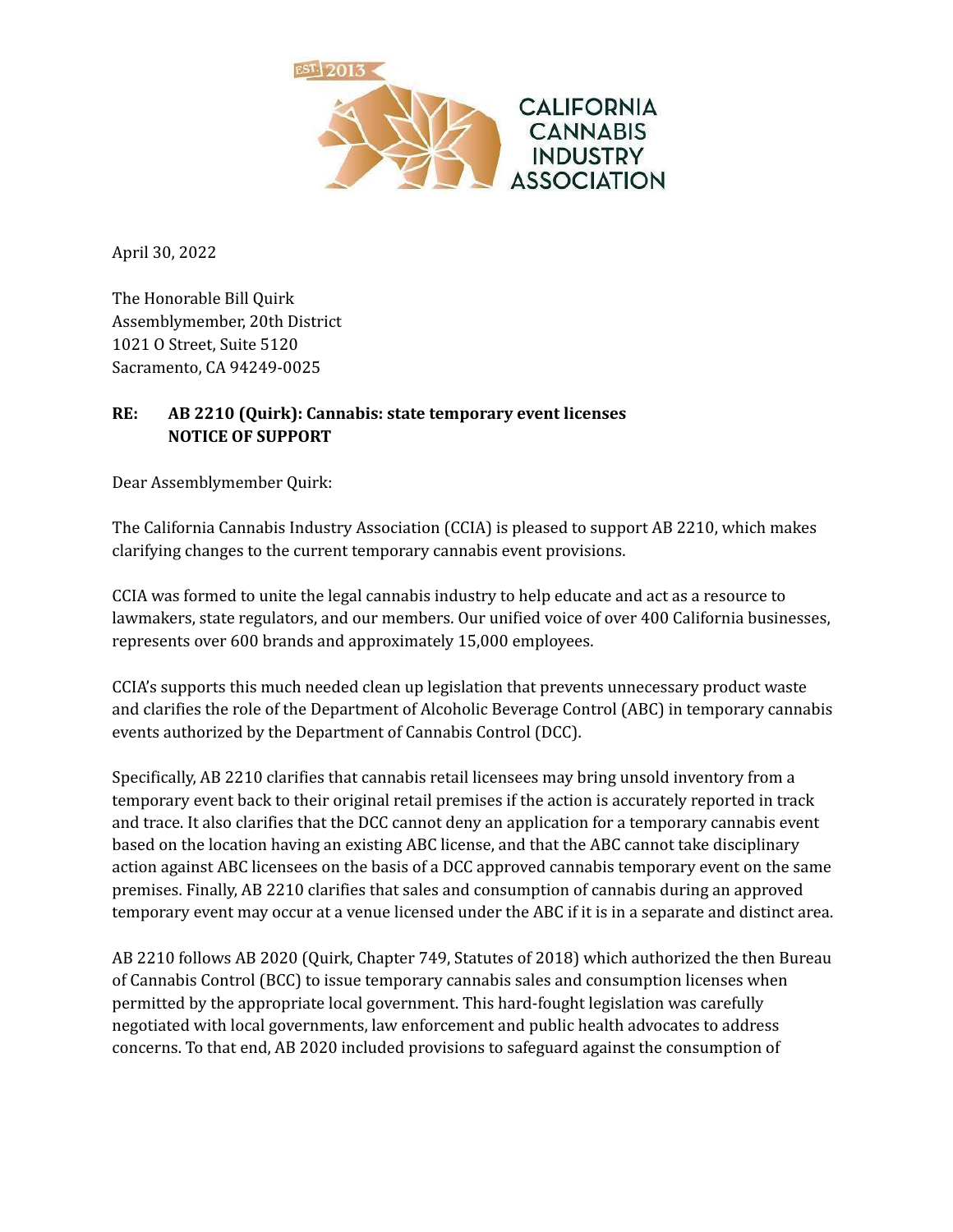

April 30, 2022

The Honorable Bill Quirk Assemblymember, 20th District 1021 O Street, Suite 5120 Sacramento, CA 94249-0025

## **RE: AB 2210 (Quirk): Cannabis: state temporary event licenses NOTICE OF SUPPORT**

Dear Assemblymember Quirk:

The California Cannabis Industry Association (CCIA) is pleased to support AB 2210, which makes clarifying changes to the current temporary cannabis event provisions.

CCIA was formed to unite the legal cannabis industry to help educate and act as a resource to lawmakers, state regulators, and our members. Our unified voice of over 400 California businesses, represents over 600 brands and approximately 15,000 employees.

CCIA's supports this much needed clean up legislation that prevents unnecessary product waste and clarifies the role of the Department of Alcoholic Beverage Control (ABC) in temporary cannabis events authorized by the Department of Cannabis Control (DCC).

Specifically, AB 2210 clarifies that cannabis retail licensees may bring unsold inventory from a temporary event back to their original retail premises if the action is accurately reported in track and trace. It also clarifies that the DCC cannot deny an application for a temporary cannabis event based on the location having an existing ABC license, and that the ABC cannot take disciplinary action against ABC licensees on the basis of a DCC approved cannabis temporary event on the same premises. Finally, AB 2210 clarifies that sales and consumption of cannabis during an approved temporary event may occur at a venue licensed under the ABC if it is in a separate and distinct area.

AB 2210 follows AB 2020 (Quirk, Chapter 749, Statutes of 2018) which authorized the then Bureau of Cannabis Control (BCC) to issue temporary cannabis sales and consumption licenses when permitted by the appropriate local government. This hard-fought legislation was carefully negotiated with local governments, law enforcement and public health advocates to address concerns. To that end, AB 2020 included provisions to safeguard against the consumption of